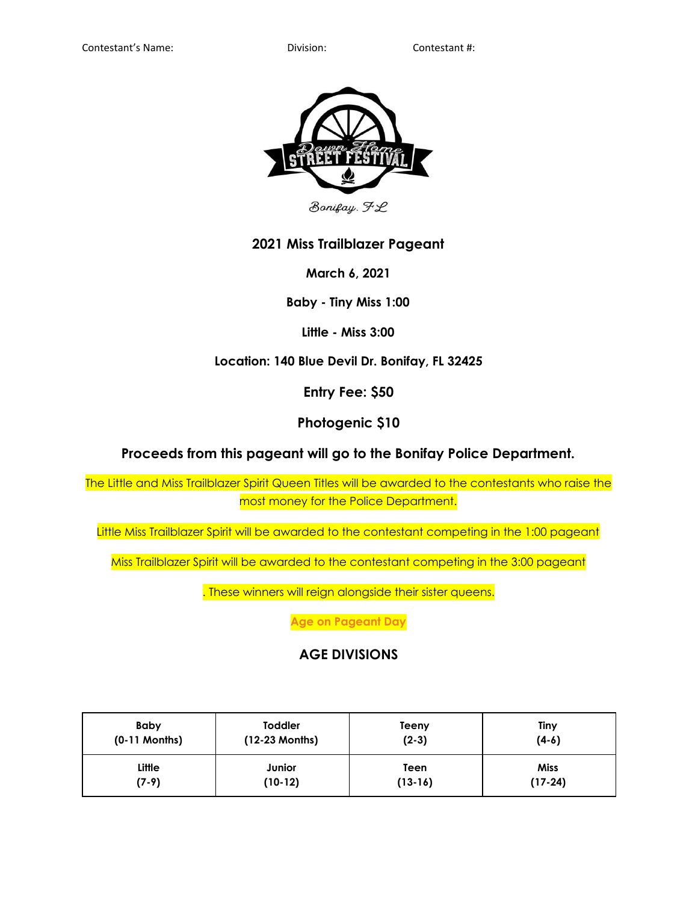

Bonifay. FL

## **2021 Miss Trailblazer Pageant**

**March 6, 2021**

**Baby - Tiny Miss 1:00**

**Little - Miss 3:00**

**Location: 140 Blue Devil Dr. Bonifay, FL 32425**

**Entry Fee: \$50**

**Photogenic \$10**

**Proceeds from this pageant will go to the Bonifay Police Department.**

The Little and Miss Trailblazer Spirit Queen Titles will be awarded to the contestants who raise the most money for the Police Department.

Little Miss Trailblazer Spirit will be awarded to the contestant competing in the 1:00 pageant

Miss Trailblazer Spirit will be awarded to the contestant competing in the 3:00 pageant

. These winners will reign alongside their sister queens.

**Age on Pageant Day**

# **AGE DIVISIONS**

| Baby            | <b>Toddler</b> | Teeny   | Tiny        |
|-----------------|----------------|---------|-------------|
| $(0-11$ Months) | (12-23 Months) | $(2-3)$ | $(4-6)$     |
| Little          | Junior         | Teen    | <b>Miss</b> |
| $(7-9)$         | (10-12)        | (13-16) | $(17-24)$   |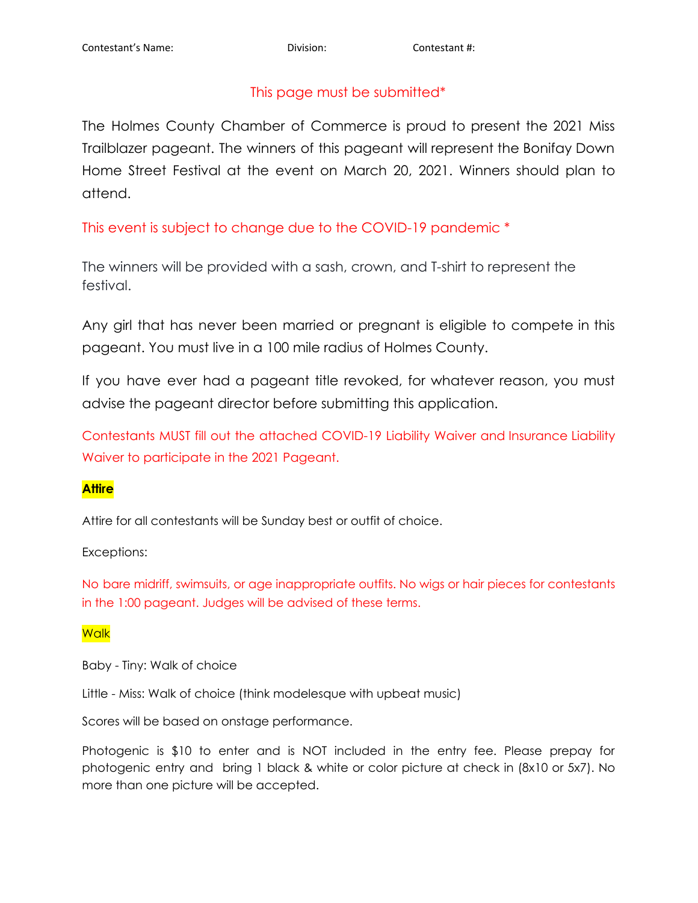# This page must be submitted\*

The Holmes County Chamber of Commerce is proud to present the 2021 Miss Trailblazer pageant. The winners of this pageant will represent the Bonifay Down Home Street Festival at the event on March 20, 2021. Winners should plan to attend.

This event is subject to change due to the COVID-19 pandemic \*

The winners will be provided with a sash, crown, and T-shirt to represent the festival.

Any girl that has never been married or pregnant is eligible to compete in this pageant. You must live in a 100 mile radius of Holmes County.

If you have ever had a pageant title revoked, for whatever reason, you must advise the pageant director before submitting this application.

Contestants MUST fill out the attached COVID-19 Liability Waiver and Insurance Liability Waiver to participate in the 2021 Pageant.

## **Attire**

Attire for all contestants will be Sunday best or outfit of choice.

## Exceptions:

No bare midriff, swimsuits, or age inappropriate outfits. No wigs or hair pieces for contestants in the 1:00 pageant. Judges will be advised of these terms.

## **Walk**

Baby - Tiny: Walk of choice

Little - Miss: Walk of choice (think modelesque with upbeat music)

Scores will be based on onstage performance.

Photogenic is \$10 to enter and is NOT included in the entry fee. Please prepay for photogenic entry and bring 1 black & white or color picture at check in (8x10 or 5x7). No more than one picture will be accepted.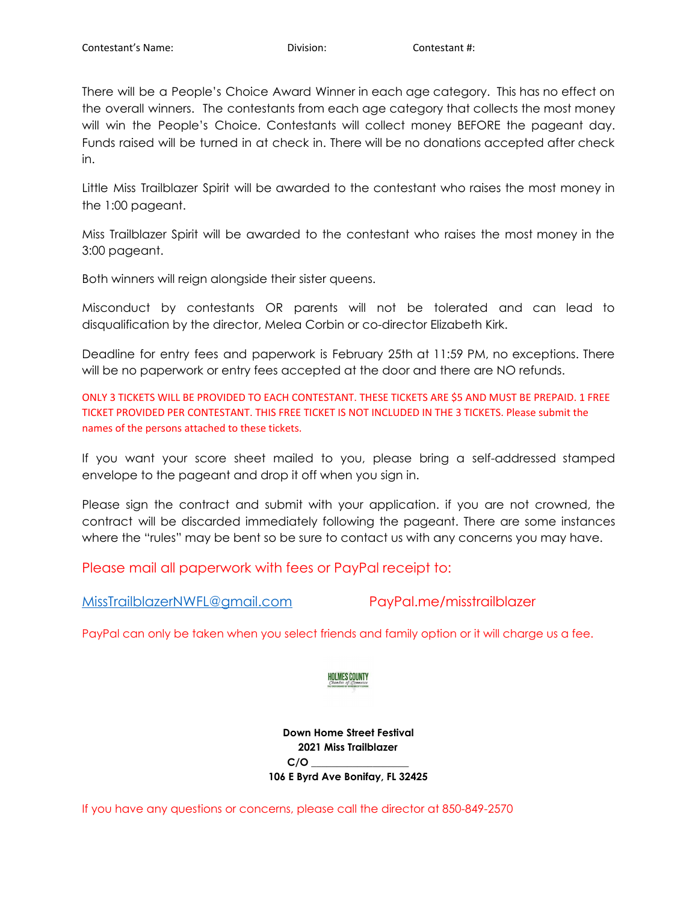There will be a People's Choice Award Winner in each age category. This has no effect on the overall winners. The contestants from each age category that collects the most money will win the People's Choice. Contestants will collect money BEFORE the pageant day. Funds raised will be turned in at check in. There will be no donations accepted after check in.

Little Miss Trailblazer Spirit will be awarded to the contestant who raises the most money in the 1:00 pageant.

Miss Trailblazer Spirit will be awarded to the contestant who raises the most money in the 3:00 pageant.

Both winners will reign alongside their sister queens.

Misconduct by contestants OR parents will not be tolerated and can lead to disqualification by the director, Melea Corbin or co-director Elizabeth Kirk.

Deadline for entry fees and paperwork is February 25th at 11:59 PM, no exceptions. There will be no paperwork or entry fees accepted at the door and there are NO refunds.

ONLY 3 TICKETS WILL BE PROVIDED TO EACH CONTESTANT. THESE TICKETS ARE \$5 AND MUST BE PREPAID. 1 FREE TICKET PROVIDED PER CONTESTANT. THIS FREE TICKET IS NOT INCLUDED IN THE 3 TICKETS. Please submit the names of the persons attached to these tickets.

If you want your score sheet mailed to you, please bring a self-addressed stamped envelope to the pageant and drop it off when you sign in.

Please sign the contract and submit with your application. if you are not crowned, the contract will be discarded immediately following the pageant. There are some instances where the "rules" may be bent so be sure to contact us with any concerns you may have.

Please mail all paperwork with fees or PayPal receipt to:

[MissTrailblazerNWFL@gmail.com](mailto:MissTrailblazerNWFL@gmail.com) PayPal.me/misstrailblazer

PayPal can only be taken when you select friends and family option or it will charge us a fee.

### **HOLMES COUNTY**

**Down Home Street Festival 2021 Miss Trailblazer C/O \_\_\_\_\_\_\_\_\_\_\_\_\_\_\_\_\_\_\_ 106 E Byrd Ave Bonifay, FL 32425**

If you have any questions or concerns, please call the director at 850-849-2570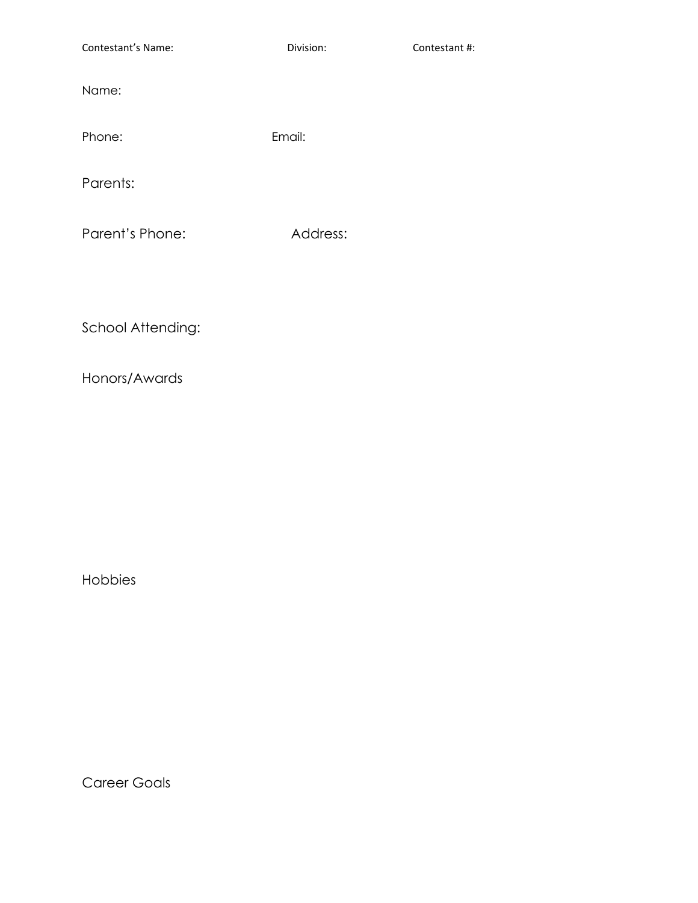Contestant's Name: Division: Contestant #: Name: Phone: Email: Parents:

Parent's Phone: Address:

School Attending:

Honors/Awards

Hobbies

Career Goals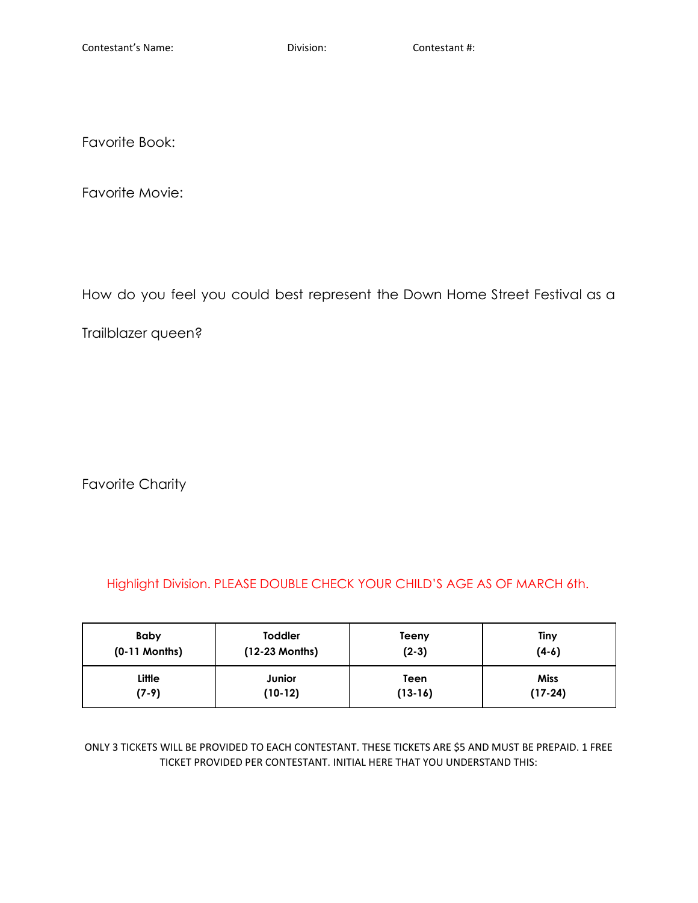Favorite Book:

Favorite Movie:

How do you feel you could best represent the Down Home Street Festival as a

Trailblazer queen?

Favorite Charity

Highlight Division. PLEASE DOUBLE CHECK YOUR CHILD'S AGE AS OF MARCH 6th.

| <b>Baby</b>     | <b>Toddler</b>   | Teeny     | Tiny      |
|-----------------|------------------|-----------|-----------|
| $(0-11$ Months) | $(12-23$ Months) | $(2-3)$   | $(4-6)$   |
| Little          | Junior           | Teen      | Miss      |
| $(7-9)$         | $(10-12)$        | $(13-16)$ | $(17-24)$ |

ONLY 3 TICKETS WILL BE PROVIDED TO EACH CONTESTANT. THESE TICKETS ARE \$5 AND MUST BE PREPAID. 1 FREE TICKET PROVIDED PER CONTESTANT. INITIAL HERE THAT YOU UNDERSTAND THIS: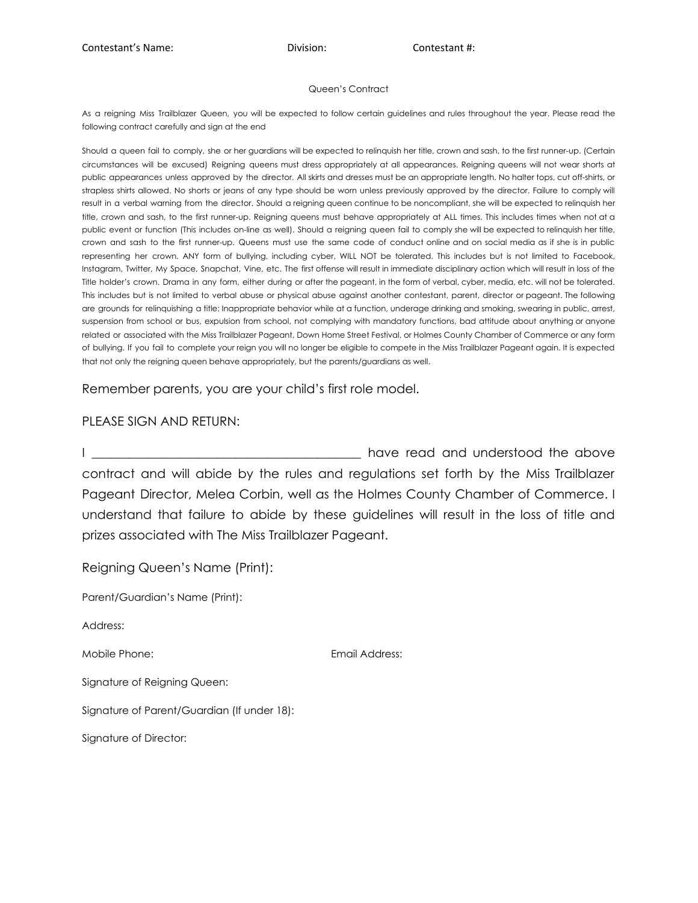#### Queen's Contract

As a reigning Miss Trailblazer Queen, you will be expected to follow certain guidelines and rules throughout the year. Please read the following contract carefully and sign at the end

Should a queen fail to comply, she or her guardians will be expected to relinquish her title, crown and sash, to the first runner-up. (Certain circumstances will be excused) Reigning queens must dress appropriately at all appearances. Reigning queens will not wear shorts at public appearances unless approved by the director. All skirts and dresses must be an appropriate length. No halter tops, cut off-shirts, or strapless shirts allowed. No shorts or jeans of any type should be worn unless previously approved by the director. Failure to comply will result in a verbal warning from the director. Should a reigning queen continue to be noncompliant, she will be expected to relinquish her title, crown and sash, to the first runner-up. Reigning queens must behave appropriately at ALL times. This includes times when not at a public event or function (This includes on-line as well). Should a reigning queen fail to comply she will be expected to relinquish her title, crown and sash to the first runner-up. Queens must use the same code of conduct online and on social media as if she is in public representing her crown. ANY form of bullying, including cyber, WILL NOT be tolerated. This includes but is not limited to Facebook, Instagram, Twitter, My Space, Snapchat, Vine, etc. The first offense will result in immediate disciplinary action which will result in loss of the Title holder's crown. Drama in any form, either during or after the pageant, in the form of verbal, cyber, media, etc. will not be tolerated. This includes but is not limited to verbal abuse or physical abuse against another contestant, parent, director or pageant. The following are grounds for relinquishing a title: Inappropriate behavior while at a function, underage drinking and smoking, swearing in public, arrest, suspension from school or bus, expulsion from school, not complying with mandatory functions, bad attitude about anything or anyone related or associated with the Miss Trailblazer Pageant, Down Home Street Festival, or Holmes County Chamber of Commerce or any form of bullying. If you fail to complete your reign you will no longer be eligible to compete in the Miss Trailblazer Pageant again. It is expected that not only the reigning queen behave appropriately, but the parents/guardians as well.

Remember parents, you are your child's first role model.

### PLEASE SIGN AND RETURN:

I all all the state of the state of the state of the above have read and understood the above contract and will abide by the rules and regulations set forth by the Miss Trailblazer Pageant Director, Melea Corbin, well as the Holmes County Chamber of Commerce. I understand that failure to abide by these guidelines will result in the loss of title and prizes associated with The Miss Trailblazer Pageant.

Reigning Queen's Name (Print): Parent/Guardian's Name (Print): Address: Mobile Phone: Email Address: Signature of Reigning Queen: Signature of Parent/Guardian (If under 18): Signature of Director: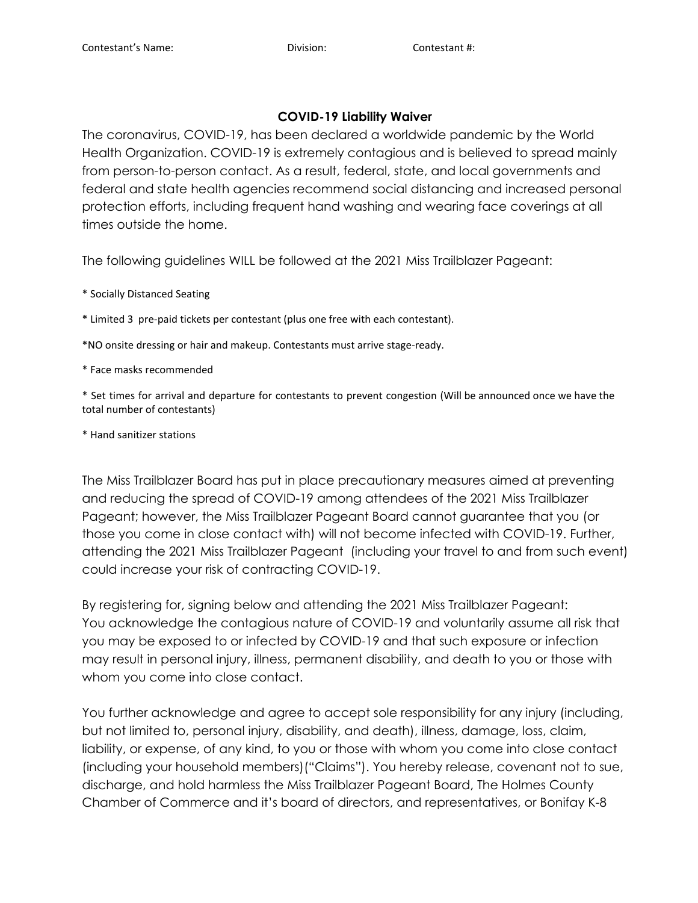### **COVID-19 Liability Waiver**

The coronavirus, COVID-19, has been declared a worldwide pandemic by the World Health Organization. COVID-19 is extremely contagious and is believed to spread mainly from person-to-person contact. As a result, federal, state, and local governments and federal and state health agencies recommend social distancing and increased personal protection efforts, including frequent hand washing and wearing face coverings at all times outside the home.

The following guidelines WILL be followed at the 2021 Miss Trailblazer Pageant:

\* Socially Distanced Seating

\* Limited 3 pre-paid tickets per contestant (plus one free with each contestant).

\*NO onsite dressing or hair and makeup. Contestants must arrive stage-ready.

\* Face masks recommended

\* Set times for arrival and departure for contestants to prevent congestion (Will be announced once we have the total number of contestants)

\* Hand sanitizer stations

The Miss Trailblazer Board has put in place precautionary measures aimed at preventing and reducing the spread of COVID-19 among attendees of the 2021 Miss Trailblazer Pageant; however, the Miss Trailblazer Pageant Board cannot guarantee that you (or those you come in close contact with) will not become infected with COVID-19. Further, attending the 2021 Miss Trailblazer Pageant (including your travel to and from such event) could increase your risk of contracting COVID-19.

By registering for, signing below and attending the 2021 Miss Trailblazer Pageant: You acknowledge the contagious nature of COVID-19 and voluntarily assume all risk that you may be exposed to or infected by COVID-19 and that such exposure or infection may result in personal injury, illness, permanent disability, and death to you or those with whom you come into close contact.

You further acknowledge and agree to accept sole responsibility for any injury (including, but not limited to, personal injury, disability, and death), illness, damage, loss, claim, liability, or expense, of any kind, to you or those with whom you come into close contact (including your household members)("Claims"). You hereby release, covenant not to sue, discharge, and hold harmless the Miss Trailblazer Pageant Board, The Holmes County Chamber of Commerce and it's board of directors, and representatives, or Bonifay K-8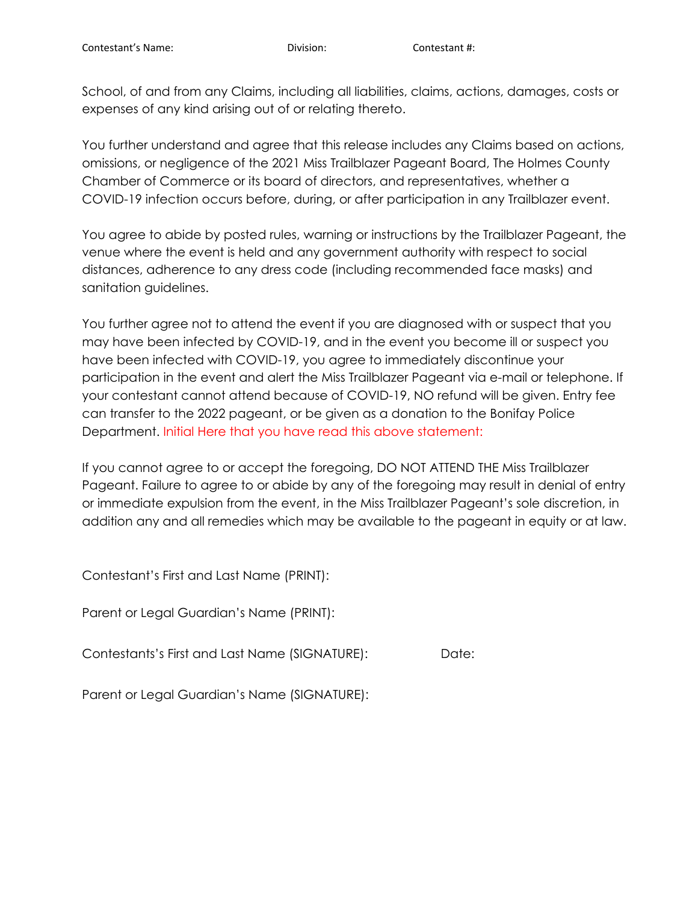School, of and from any Claims, including all liabilities, claims, actions, damages, costs or expenses of any kind arising out of or relating thereto.

You further understand and agree that this release includes any Claims based on actions, omissions, or negligence of the 2021 Miss Trailblazer Pageant Board, The Holmes County Chamber of Commerce or its board of directors, and representatives, whether a COVID-19 infection occurs before, during, or after participation in any Trailblazer event.

You agree to abide by posted rules, warning or instructions by the Trailblazer Pageant, the venue where the event is held and any government authority with respect to social distances, adherence to any dress code (including recommended face masks) and sanitation guidelines.

You further agree not to attend the event if you are diagnosed with or suspect that you may have been infected by COVID-19, and in the event you become ill or suspect you have been infected with COVID-19, you agree to immediately discontinue your participation in the event and alert the Miss Trailblazer Pageant via e-mail or telephone. If your contestant cannot attend because of COVID-19, NO refund will be given. Entry fee can transfer to the 2022 pageant, or be given as a donation to the Bonifay Police Department. Initial Here that you have read this above statement:

If you cannot agree to or accept the foregoing, DO NOT ATTEND THE Miss Trailblazer Pageant. Failure to agree to or abide by any of the foregoing may result in denial of entry or immediate expulsion from the event, in the Miss Trailblazer Pageant's sole discretion, in addition any and all remedies which may be available to the pageant in equity or at law.

Contestant's First and Last Name (PRINT):

Parent or Legal Guardian's Name (PRINT):

Contestants's First and Last Name (SIGNATURE): Date:

Parent or Legal Guardian's Name (SIGNATURE):